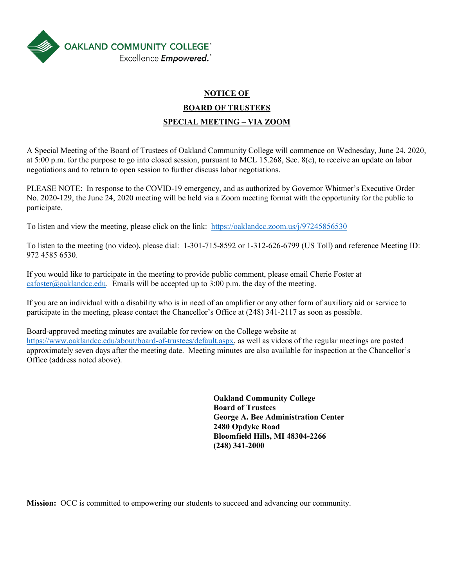

# **NOTICE OF BOARD OF TRUSTEES SPECIAL MEETING – VIA ZOOM**

A Special Meeting of the Board of Trustees of Oakland Community College will commence on Wednesday, June 24, 2020, at 5:00 p.m. for the purpose to go into closed session, pursuant to MCL 15.268, Sec. 8(c), to receive an update on labor negotiations and to return to open session to further discuss labor negotiations.

PLEASE NOTE: In response to the COVID-19 emergency, and as authorized by Governor Whitmer's Executive Order No. 2020-129, the June 24, 2020 meeting will be held via a Zoom meeting format with the opportunity for the public to participate.

To listen and view the meeting, please click on the link: <https://oaklandcc.zoom.us/j/97245856530>

To listen to the meeting (no video), please dial: 1-301-715-8592 or 1-312-626-6799 (US Toll) and reference Meeting ID: 972 4585 6530.

If you would like to participate in the meeting to provide public comment, please email Cherie Foster at [cafoster@oaklandcc.edu.](mailto:cafoster@oaklandcc.edu) Emails will be accepted up to  $3:00$  p.m. the day of the meeting.

If you are an individual with a disability who is in need of an amplifier or any other form of auxiliary aid or service to participate in the meeting, please contact the Chancellor's Office at (248) 341-2117 as soon as possible.

Board-approved meeting minutes are available for review on the College website at [https://www.oaklandcc.edu/about/board-of-trustees/default.aspx,](https://www.oaklandcc.edu/about/board-of-trustees/default.aspx) as well as videos of the regular meetings are posted approximately seven days after the meeting date. Meeting minutes are also available for inspection at the Chancellor's Office (address noted above).

> **Oakland Community College Board of Trustees George A. Bee Administration Center 2480 Opdyke Road Bloomfield Hills, MI 48304-2266 (248) 341-2000**

**Mission:** OCC is committed to empowering our students to succeed and advancing our community.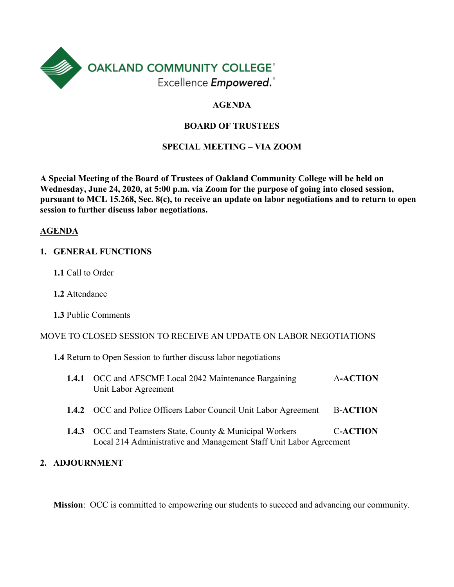

# **AGENDA**

# **BOARD OF TRUSTEES**

## **SPECIAL MEETING – VIA ZOOM**

**A Special Meeting of the Board of Trustees of Oakland Community College will be held on Wednesday, June 24, 2020, at 5:00 p.m. via Zoom for the purpose of going into closed session, pursuant to MCL 15.268, Sec. 8(c), to receive an update on labor negotiations and to return to open session to further discuss labor negotiations.**

#### **AGENDA**

- **1. GENERAL FUNCTIONS**
	- **1.1** Call to Order
	- **1.2** Attendance
	- **1.3** Public Comments

#### MOVE TO CLOSED SESSION TO RECEIVE AN UPDATE ON LABOR NEGOTIATIONS

**1.4** Return to Open Session to further discuss labor negotiations

| 1.4.1 | OCC and AFSCME Local 2042 Maintenance Bargaining<br>Unit Labor Agreement                                                               | <b>A-ACTION</b> |
|-------|----------------------------------------------------------------------------------------------------------------------------------------|-----------------|
|       | <b>1.4.2</b> OCC and Police Officers Labor Council Unit Labor Agreement                                                                | <b>B-ACTION</b> |
|       | <b>1.4.3</b> OCC and Teamsters State, County & Municipal Workers<br>Local 214 Administrative and Management Staff Unit Labor Agreement | <b>C-ACTION</b> |

## **2. ADJOURNMENT**

**Mission**: OCC is committed to empowering our students to succeed and advancing our community.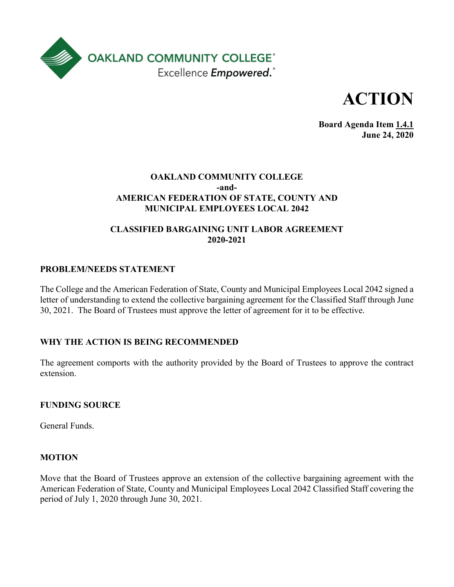



**Board Agenda Item 1.4.1 June 24, 2020**

## **OAKLAND COMMUNITY COLLEGE -and-AMERICAN FEDERATION OF STATE, COUNTY AND MUNICIPAL EMPLOYEES LOCAL 2042**

# **CLASSIFIED BARGAINING UNIT LABOR AGREEMENT 2020-2021**

## **PROBLEM/NEEDS STATEMENT**

The College and the American Federation of State, County and Municipal Employees Local 2042 signed a letter of understanding to extend the collective bargaining agreement for the Classified Staff through June 30, 2021. The Board of Trustees must approve the letter of agreement for it to be effective.

#### **WHY THE ACTION IS BEING RECOMMENDED**

The agreement comports with the authority provided by the Board of Trustees to approve the contract extension.

#### **FUNDING SOURCE**

General Funds.

#### **MOTION**

Move that the Board of Trustees approve an extension of the collective bargaining agreement with the American Federation of State, County and Municipal Employees Local 2042 Classified Staff covering the period of July 1, 2020 through June 30, 2021.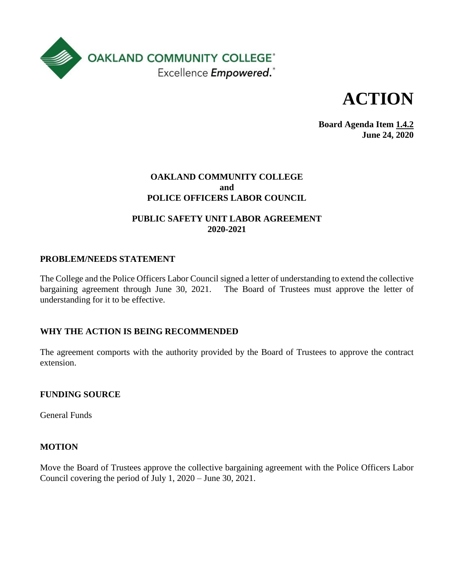



**Board Agenda Item 1.4.2 June 24, 2020**

#### **OAKLAND COMMUNITY COLLEGE and POLICE OFFICERS LABOR COUNCIL**

## **PUBLIC SAFETY UNIT LABOR AGREEMENT 2020-2021**

## **PROBLEM/NEEDS STATEMENT**

The College and the Police Officers Labor Council signed a letter of understanding to extend the collective bargaining agreement through June 30, 2021. The Board of Trustees must approve the letter of understanding for it to be effective.

## **WHY THE ACTION IS BEING RECOMMENDED**

The agreement comports with the authority provided by the Board of Trustees to approve the contract extension.

#### **FUNDING SOURCE**

General Funds

#### **MOTION**

Move the Board of Trustees approve the collective bargaining agreement with the Police Officers Labor Council covering the period of July 1, 2020 – June 30, 2021.